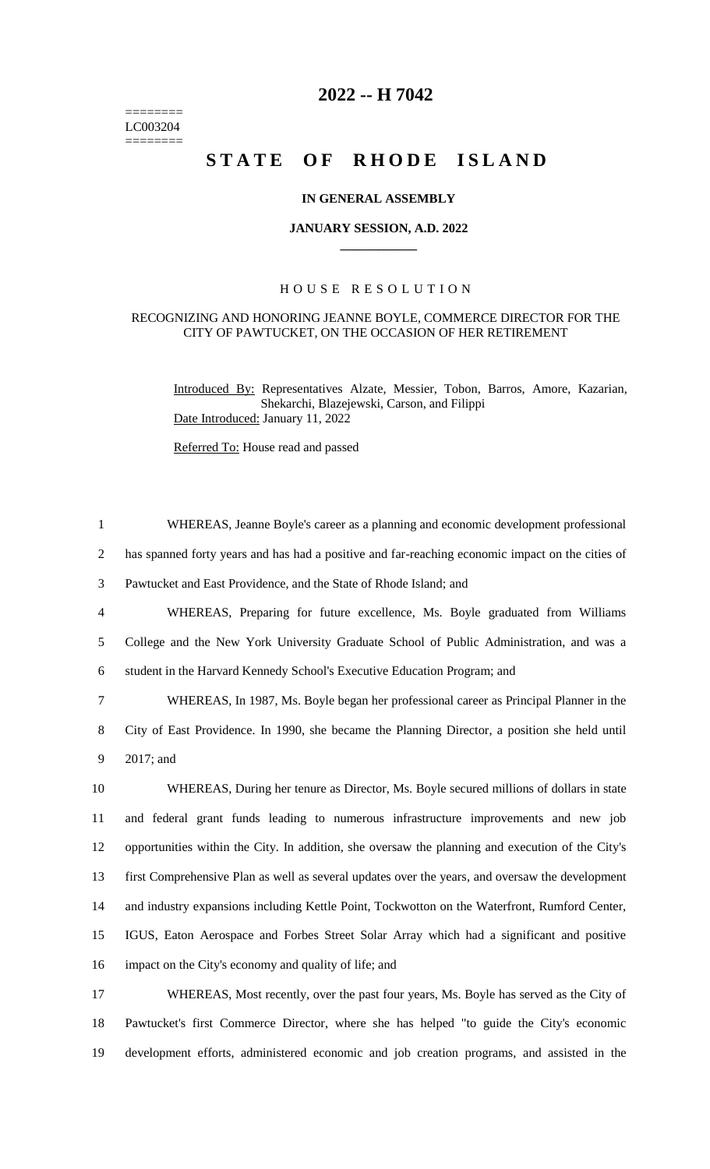======== LC003204 ========

# **2022 -- H 7042**

# STATE OF RHODE ISLAND

## **IN GENERAL ASSEMBLY**

#### **JANUARY SESSION, A.D. 2022 \_\_\_\_\_\_\_\_\_\_\_\_**

## H O U S E R E S O L U T I O N

#### RECOGNIZING AND HONORING JEANNE BOYLE, COMMERCE DIRECTOR FOR THE CITY OF PAWTUCKET, ON THE OCCASION OF HER RETIREMENT

Introduced By: Representatives Alzate, Messier, Tobon, Barros, Amore, Kazarian, Shekarchi, Blazejewski, Carson, and Filippi Date Introduced: January 11, 2022

Referred To: House read and passed

 WHEREAS, Jeanne Boyle's career as a planning and economic development professional has spanned forty years and has had a positive and far-reaching economic impact on the cities of Pawtucket and East Providence, and the State of Rhode Island; and WHEREAS, Preparing for future excellence, Ms. Boyle graduated from Williams College and the New York University Graduate School of Public Administration, and was a student in the Harvard Kennedy School's Executive Education Program; and WHEREAS, In 1987, Ms. Boyle began her professional career as Principal Planner in the City of East Providence. In 1990, she became the Planning Director, a position she held until 2017; and WHEREAS, During her tenure as Director, Ms. Boyle secured millions of dollars in state and federal grant funds leading to numerous infrastructure improvements and new job opportunities within the City. In addition, she oversaw the planning and execution of the City's first Comprehensive Plan as well as several updates over the years, and oversaw the development and industry expansions including Kettle Point, Tockwotton on the Waterfront, Rumford Center, IGUS, Eaton Aerospace and Forbes Street Solar Array which had a significant and positive impact on the City's economy and quality of life; and WHEREAS, Most recently, over the past four years, Ms. Boyle has served as the City of Pawtucket's first Commerce Director, where she has helped "to guide the City's economic development efforts, administered economic and job creation programs, and assisted in the